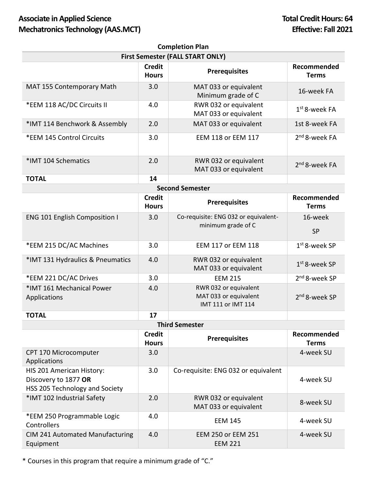## **Associate in Applied Science Total Credit Hours: 64 Mechatronics Technology (AAS.MCT) Effective: Fall 2021**

| <b>Completion Plan</b>                                                              |                               |                                                                      |                             |  |  |
|-------------------------------------------------------------------------------------|-------------------------------|----------------------------------------------------------------------|-----------------------------|--|--|
| <b>First Semester (FALL START ONLY)</b>                                             |                               |                                                                      |                             |  |  |
|                                                                                     | <b>Credit</b><br><b>Hours</b> | <b>Prerequisites</b>                                                 | Recommended<br><b>Terms</b> |  |  |
| MAT 155 Contemporary Math                                                           | 3.0                           | MAT 033 or equivalent<br>Minimum grade of C                          | 16-week FA                  |  |  |
| *EEM 118 AC/DC Circuits II                                                          | 4.0                           | RWR 032 or equivalent<br>MAT 033 or equivalent                       | $1st$ 8-week FA             |  |  |
| *IMT 114 Benchwork & Assembly                                                       | 2.0                           | MAT 033 or equivalent                                                | 1st 8-week FA               |  |  |
| *EEM 145 Control Circuits                                                           | 3.0                           | EEM 118 or EEM 117                                                   | 2 <sup>nd</sup> 8-week FA   |  |  |
| *IMT 104 Schematics                                                                 | 2.0                           | RWR 032 or equivalent<br>MAT 033 or equivalent                       | 2 <sup>nd</sup> 8-week FA   |  |  |
| <b>TOTAL</b>                                                                        | 14                            |                                                                      |                             |  |  |
|                                                                                     |                               | <b>Second Semester</b>                                               |                             |  |  |
|                                                                                     | <b>Credit</b><br><b>Hours</b> | <b>Prerequisites</b>                                                 | Recommended<br><b>Terms</b> |  |  |
| <b>ENG 101 English Composition I</b>                                                | 3.0                           | Co-requisite: ENG 032 or equivalent-<br>minimum grade of C           | 16-week<br><b>SP</b>        |  |  |
| *EEM 215 DC/AC Machines                                                             | 3.0                           | <b>EEM 117 or EEM 118</b>                                            | 1st 8-week SP               |  |  |
| *IMT 131 Hydraulics & Pneumatics                                                    | 4.0                           | RWR 032 or equivalent<br>MAT 033 or equivalent                       | $1st$ 8-week SP             |  |  |
| *EEM 221 DC/AC Drives                                                               | 3.0                           | <b>EEM 215</b>                                                       | 2 <sup>nd</sup> 8-week SP   |  |  |
| *IMT 161 Mechanical Power<br>Applications                                           | 4.0                           | RWR 032 or equivalent<br>MAT 033 or equivalent<br>IMT 111 or IMT 114 | 2 <sup>nd</sup> 8-week SP   |  |  |
| <b>TOTAL</b>                                                                        | 17                            |                                                                      |                             |  |  |
| <b>Third Semester</b>                                                               |                               |                                                                      |                             |  |  |
|                                                                                     | <b>Credit</b><br><b>Hours</b> | <b>Prerequisites</b>                                                 | Recommended<br><b>Terms</b> |  |  |
| CPT 170 Microcomputer<br>Applications                                               | 3.0                           |                                                                      | 4-week SU                   |  |  |
| HIS 201 American History:<br>Discovery to 1877 OR<br>HSS 205 Technology and Society | 3.0                           | Co-requisite: ENG 032 or equivalent                                  | 4-week SU                   |  |  |
| *IMT 102 Industrial Safety                                                          | 2.0                           | RWR 032 or equivalent<br>MAT 033 or equivalent                       | 8-week SU                   |  |  |
| *EEM 250 Programmable Logic<br>Controllers                                          | 4.0                           | <b>EEM 145</b>                                                       | 4-week SU                   |  |  |
| CIM 241 Automated Manufacturing<br>Equipment                                        | 4.0                           | EEM 250 or EEM 251<br><b>EEM 221</b>                                 | 4-week SU                   |  |  |

\* Courses in this program that require a minimum grade of "C."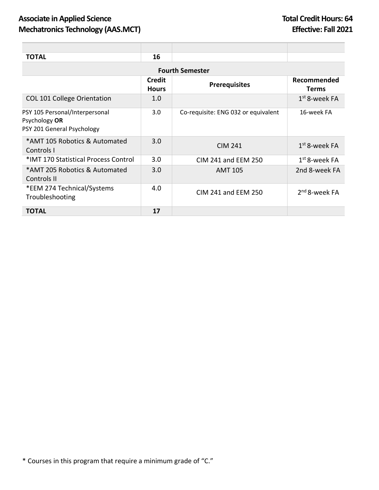| <b>TOTAL</b>                                                                  | 16                            |                                     |                             |  |
|-------------------------------------------------------------------------------|-------------------------------|-------------------------------------|-----------------------------|--|
| <b>Fourth Semester</b>                                                        |                               |                                     |                             |  |
|                                                                               | <b>Credit</b><br><b>Hours</b> | <b>Prerequisites</b>                | Recommended<br><b>Terms</b> |  |
| <b>COL 101 College Orientation</b>                                            | 1.0 <sub>1</sub>              |                                     | $1st$ 8-week FA             |  |
| PSY 105 Personal/Interpersonal<br>Psychology OR<br>PSY 201 General Psychology | 3.0                           | Co-requisite: ENG 032 or equivalent | 16-week FA                  |  |
| *AMT 105 Robotics & Automated<br>Controls I                                   | 3.0                           | <b>CIM 241</b>                      | $1st$ 8-week FA             |  |
| *IMT 170 Statistical Process Control                                          | 3.0                           | CIM 241 and EEM 250                 | $1st$ 8-week FA             |  |
| *AMT 205 Robotics & Automated<br>Controls II                                  | 3.0                           | <b>AMT 105</b>                      | 2nd 8-week FA               |  |
| *EEM 274 Technical/Systems<br>Troubleshooting                                 | 4.0                           | CIM 241 and EEM 250                 | $2nd$ 8-week FA             |  |
| <b>TOTAL</b>                                                                  | 17                            |                                     |                             |  |